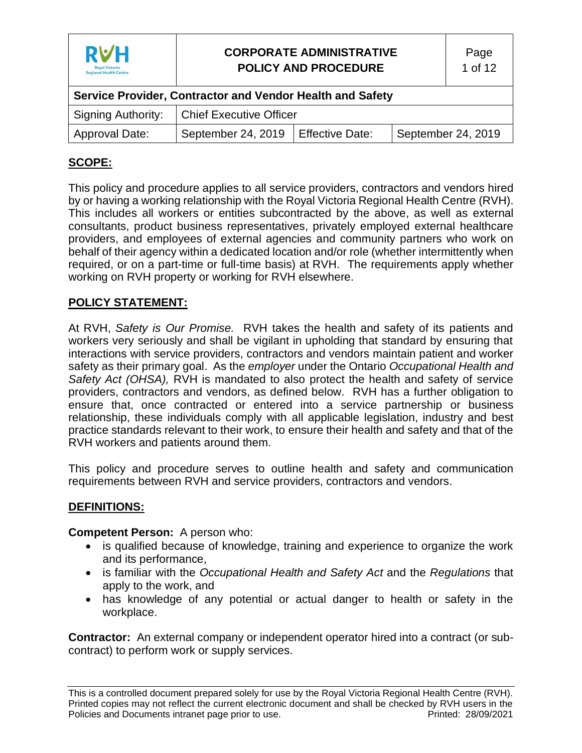| <b>RVH</b><br><b>Royal Victoria</b><br><b>Regional Health Centre</b> | <b>CORPORATE ADMINISTRATIVE</b><br><b>POLICY AND PROCEDURE</b> |                        |                    | Page<br>1 of 12 |  |  |
|----------------------------------------------------------------------|----------------------------------------------------------------|------------------------|--------------------|-----------------|--|--|
| Service Provider, Contractor and Vendor Health and Safety            |                                                                |                        |                    |                 |  |  |
| <b>Signing Authority:</b>                                            | <b>Chief Executive Officer</b>                                 |                        |                    |                 |  |  |
| Approval Date:                                                       | September 24, 2019                                             | <b>Effective Date:</b> | September 24, 2019 |                 |  |  |

# **SCOPE:**

This policy and procedure applies to all service providers, contractors and vendors hired by or having a working relationship with the Royal Victoria Regional Health Centre (RVH). This includes all workers or entities subcontracted by the above, as well as external consultants, product business representatives, privately employed external healthcare providers, and employees of external agencies and community partners who work on behalf of their agency within a dedicated location and/or role (whether intermittently when required, or on a part-time or full-time basis) at RVH. The requirements apply whether working on RVH property or working for RVH elsewhere.

## **POLICY STATEMENT:**

At RVH, *Safety is Our Promise.* RVH takes the health and safety of its patients and workers very seriously and shall be vigilant in upholding that standard by ensuring that interactions with service providers, contractors and vendors maintain patient and worker safety as their primary goal. As the *employer* under the Ontario *Occupational Health and Safety Act (OHSA),* RVH is mandated to also protect the health and safety of service providers, contractors and vendors, as defined below. RVH has a further obligation to ensure that, once contracted or entered into a service partnership or business relationship, these individuals comply with all applicable legislation, industry and best practice standards relevant to their work, to ensure their health and safety and that of the RVH workers and patients around them.

This policy and procedure serves to outline health and safety and communication requirements between RVH and service providers, contractors and vendors.

### **DEFINITIONS:**

**Competent Person:** A person who:

- is qualified because of knowledge, training and experience to organize the work and its performance,
- is familiar with the *Occupational Health and Safety Act* and the *Regulations* that apply to the work, and
- has knowledge of any potential or actual danger to health or safety in the workplace.

**Contractor:** An external company or independent operator hired into a contract (or subcontract) to perform work or supply services.

This is a controlled document prepared solely for use by the Royal Victoria Regional Health Centre (RVH). Printed copies may not reflect the current electronic document and shall be checked by RVH users in the<br>Policies and Documents intranet page prior to use.<br>Printed: 28/09/2021 Policies and Documents intranet page prior to use.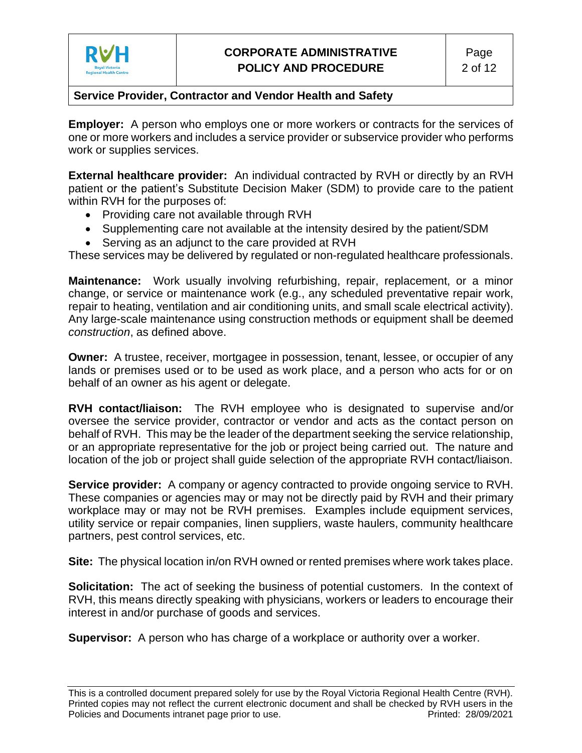

**Employer:** A person who employs one or more workers or contracts for the services of one or more workers and includes a service provider or subservice provider who performs work or supplies services.

**External healthcare provider:** An individual contracted by RVH or directly by an RVH patient or the patient's Substitute Decision Maker (SDM) to provide care to the patient within RVH for the purposes of:

- Providing care not available through RVH
- Supplementing care not available at the intensity desired by the patient/SDM
- Serving as an adjunct to the care provided at RVH

These services may be delivered by regulated or non-regulated healthcare professionals.

**Maintenance:** Work usually involving refurbishing, repair, replacement, or a minor change, or service or maintenance work (e.g., any scheduled preventative repair work, repair to heating, ventilation and air conditioning units, and small scale electrical activity). Any large-scale maintenance using construction methods or equipment shall be deemed *construction*, as defined above.

**Owner:** A trustee, receiver, mortgagee in possession, tenant, lessee, or occupier of any lands or premises used or to be used as work place, and a person who acts for or on behalf of an owner as his agent or delegate.

**RVH contact/liaison:** The RVH employee who is designated to supervise and/or oversee the service provider, contractor or vendor and acts as the contact person on behalf of RVH. This may be the leader of the department seeking the service relationship, or an appropriate representative for the job or project being carried out. The nature and location of the job or project shall guide selection of the appropriate RVH contact/liaison.

**Service provider:** A company or agency contracted to provide ongoing service to RVH. These companies or agencies may or may not be directly paid by RVH and their primary workplace may or may not be RVH premises. Examples include equipment services, utility service or repair companies, linen suppliers, waste haulers, community healthcare partners, pest control services, etc.

**Site:** The physical location in/on RVH owned or rented premises where work takes place.

**Solicitation:** The act of seeking the business of potential customers. In the context of RVH, this means directly speaking with physicians, workers or leaders to encourage their interest in and/or purchase of goods and services.

**Supervisor:** A person who has charge of a workplace or authority over a worker.

This is a controlled document prepared solely for use by the Royal Victoria Regional Health Centre (RVH). Printed copies may not reflect the current electronic document and shall be checked by RVH users in the<br>Policies and Documents intranet page prior to use.<br>Printed: 28/09/2021 Policies and Documents intranet page prior to use.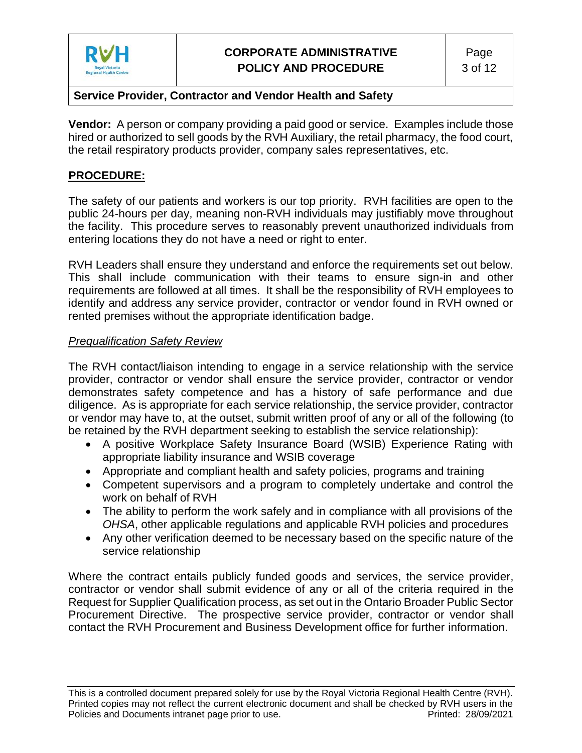

### **Service Provider, Contractor and Vendor Health and Safety**

**Vendor:** A person or company providing a paid good or service. Examples include those hired or authorized to sell goods by the RVH Auxiliary, the retail pharmacy, the food court, the retail respiratory products provider, company sales representatives, etc.

### **PROCEDURE:**

The safety of our patients and workers is our top priority. RVH facilities are open to the public 24-hours per day, meaning non-RVH individuals may justifiably move throughout the facility. This procedure serves to reasonably prevent unauthorized individuals from entering locations they do not have a need or right to enter.

RVH Leaders shall ensure they understand and enforce the requirements set out below. This shall include communication with their teams to ensure sign-in and other requirements are followed at all times. It shall be the responsibility of RVH employees to identify and address any service provider, contractor or vendor found in RVH owned or rented premises without the appropriate identification badge.

### *Prequalification Safety Review*

The RVH contact/liaison intending to engage in a service relationship with the service provider, contractor or vendor shall ensure the service provider, contractor or vendor demonstrates safety competence and has a history of safe performance and due diligence. As is appropriate for each service relationship, the service provider, contractor or vendor may have to, at the outset, submit written proof of any or all of the following (to be retained by the RVH department seeking to establish the service relationship):

- A positive Workplace Safety Insurance Board (WSIB) Experience Rating with appropriate liability insurance and WSIB coverage
- Appropriate and compliant health and safety policies, programs and training
- Competent supervisors and a program to completely undertake and control the work on behalf of RVH
- The ability to perform the work safely and in compliance with all provisions of the *OHSA*, other applicable regulations and applicable RVH policies and procedures
- Any other verification deemed to be necessary based on the specific nature of the service relationship

Where the contract entails publicly funded goods and services, the service provider, contractor or vendor shall submit evidence of any or all of the criteria required in the Request for Supplier Qualification process, as set out in the Ontario Broader Public Sector Procurement Directive. The prospective service provider, contractor or vendor shall contact the RVH Procurement and Business Development office for further information.

This is a controlled document prepared solely for use by the Royal Victoria Regional Health Centre (RVH). Printed copies may not reflect the current electronic document and shall be checked by RVH users in the<br>Policies and Documents intranet page prior to use.<br>Printed: 28/09/2021 Policies and Documents intranet page prior to use.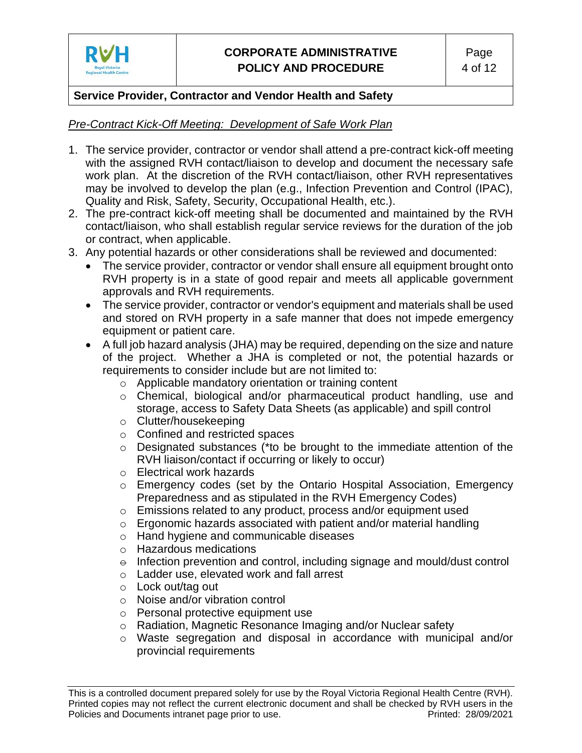

### *Pre-Contract Kick-Off Meeting: Development of Safe Work Plan*

- 1. The service provider, contractor or vendor shall attend a pre-contract kick-off meeting with the assigned RVH contact/liaison to develop and document the necessary safe work plan. At the discretion of the RVH contact/liaison, other RVH representatives may be involved to develop the plan (e.g., Infection Prevention and Control (IPAC), Quality and Risk, Safety, Security, Occupational Health, etc.).
- 2. The pre-contract kick-off meeting shall be documented and maintained by the RVH contact/liaison, who shall establish regular service reviews for the duration of the job or contract, when applicable.
- 3. Any potential hazards or other considerations shall be reviewed and documented:
	- The service provider, contractor or vendor shall ensure all equipment brought onto RVH property is in a state of good repair and meets all applicable government approvals and RVH requirements.
	- The service provider, contractor or vendor's equipment and materials shall be used and stored on RVH property in a safe manner that does not impede emergency equipment or patient care.
	- A full job hazard analysis (JHA) may be required, depending on the size and nature of the project. Whether a JHA is completed or not, the potential hazards or requirements to consider include but are not limited to:
		- o Applicable mandatory orientation or training content
		- $\circ$  Chemical, biological and/or pharmaceutical product handling, use and storage, access to Safety Data Sheets (as applicable) and spill control
		- o Clutter/housekeeping
		- o Confined and restricted spaces
		- o Designated substances (\*to be brought to the immediate attention of the RVH liaison/contact if occurring or likely to occur)
		- o Electrical work hazards
		- $\circ$  Emergency codes (set by the Ontario Hospital Association, Emergency Preparedness and as stipulated in the RVH Emergency Codes)
		- o Emissions related to any product, process and/or equipment used
		- $\circ$  Ergonomic hazards associated with patient and/or material handling
		- o Hand hygiene and communicable diseases
		- o Hazardous medications
		- $\theta$  Infection prevention and control, including signage and mould/dust control
		- o Ladder use, elevated work and fall arrest
		- o Lock out/tag out
		- o Noise and/or vibration control
		- o Personal protective equipment use
		- o Radiation, Magnetic Resonance Imaging and/or Nuclear safety
		- o Waste segregation and disposal in accordance with municipal and/or provincial requirements

This is a controlled document prepared solely for use by the Royal Victoria Regional Health Centre (RVH). Printed copies may not reflect the current electronic document and shall be checked by RVH users in the<br>Policies and Documents intranet page prior to use.<br>Printed: 28/09/2021 Policies and Documents intranet page prior to use.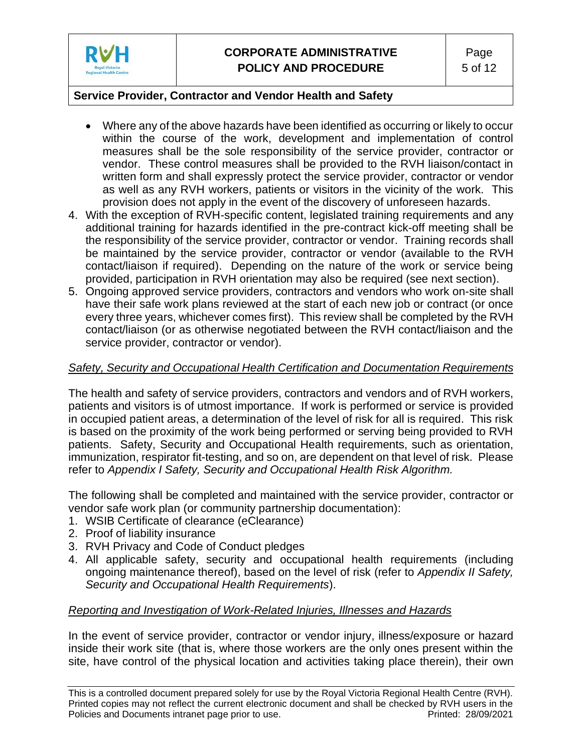

### **Service Provider, Contractor and Vendor Health and Safety**

- Where any of the above hazards have been identified as occurring or likely to occur within the course of the work, development and implementation of control measures shall be the sole responsibility of the service provider, contractor or vendor. These control measures shall be provided to the RVH liaison/contact in written form and shall expressly protect the service provider, contractor or vendor as well as any RVH workers, patients or visitors in the vicinity of the work. This provision does not apply in the event of the discovery of unforeseen hazards.
- 4. With the exception of RVH-specific content, legislated training requirements and any additional training for hazards identified in the pre-contract kick-off meeting shall be the responsibility of the service provider, contractor or vendor. Training records shall be maintained by the service provider, contractor or vendor (available to the RVH contact/liaison if required). Depending on the nature of the work or service being provided, participation in RVH orientation may also be required (see next section).
- 5. Ongoing approved service providers, contractors and vendors who work on-site shall have their safe work plans reviewed at the start of each new job or contract (or once every three years, whichever comes first). This review shall be completed by the RVH contact/liaison (or as otherwise negotiated between the RVH contact/liaison and the service provider, contractor or vendor).

### *Safety, Security and Occupational Health Certification and Documentation Requirements*

The health and safety of service providers, contractors and vendors and of RVH workers, patients and visitors is of utmost importance. If work is performed or service is provided in occupied patient areas, a determination of the level of risk for all is required. This risk is based on the proximity of the work being performed or serving being provided to RVH patients. Safety, Security and Occupational Health requirements, such as orientation, immunization, respirator fit-testing, and so on, are dependent on that level of risk. Please refer to *Appendix I Safety, Security and Occupational Health Risk Algorithm.*

The following shall be completed and maintained with the service provider, contractor or vendor safe work plan (or community partnership documentation):

- 1. WSIB Certificate of clearance (eClearance)
- 2. Proof of liability insurance
- 3. RVH Privacy and Code of Conduct pledges
- 4. All applicable safety, security and occupational health requirements (including ongoing maintenance thereof), based on the level of risk (refer to *Appendix II Safety, Security and Occupational Health Requirements*).

### *Reporting and Investigation of Work-Related Injuries, Illnesses and Hazards*

In the event of service provider, contractor or vendor injury, illness/exposure or hazard inside their work site (that is, where those workers are the only ones present within the site, have control of the physical location and activities taking place therein), their own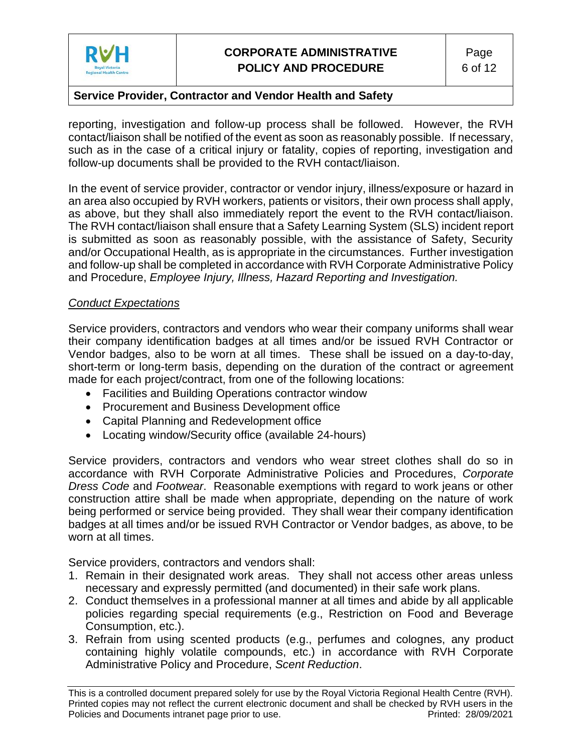

## **Service Provider, Contractor and Vendor Health and Safety**

reporting, investigation and follow-up process shall be followed. However, the RVH contact/liaison shall be notified of the event as soon as reasonably possible. If necessary, such as in the case of a critical injury or fatality, copies of reporting, investigation and follow-up documents shall be provided to the RVH contact/liaison.

In the event of service provider, contractor or vendor injury, illness/exposure or hazard in an area also occupied by RVH workers, patients or visitors, their own process shall apply, as above, but they shall also immediately report the event to the RVH contact/liaison. The RVH contact/liaison shall ensure that a Safety Learning System (SLS) incident report is submitted as soon as reasonably possible, with the assistance of Safety, Security and/or Occupational Health, as is appropriate in the circumstances. Further investigation and follow-up shall be completed in accordance with RVH Corporate Administrative Policy and Procedure, *Employee Injury, Illness, Hazard Reporting and Investigation.*

#### *Conduct Expectations*

Service providers, contractors and vendors who wear their company uniforms shall wear their company identification badges at all times and/or be issued RVH Contractor or Vendor badges, also to be worn at all times. These shall be issued on a day-to-day, short-term or long-term basis, depending on the duration of the contract or agreement made for each project/contract, from one of the following locations:

- Facilities and Building Operations contractor window
- Procurement and Business Development office
- Capital Planning and Redevelopment office
- Locating window/Security office (available 24-hours)

Service providers, contractors and vendors who wear street clothes shall do so in accordance with RVH Corporate Administrative Policies and Procedures, *Corporate Dress Code* and *Footwear*. Reasonable exemptions with regard to work jeans or other construction attire shall be made when appropriate, depending on the nature of work being performed or service being provided. They shall wear their company identification badges at all times and/or be issued RVH Contractor or Vendor badges, as above, to be worn at all times.

Service providers, contractors and vendors shall:

- 1. Remain in their designated work areas. They shall not access other areas unless necessary and expressly permitted (and documented) in their safe work plans.
- 2. Conduct themselves in a professional manner at all times and abide by all applicable policies regarding special requirements (e.g., Restriction on Food and Beverage Consumption, etc.).
- 3. Refrain from using scented products (e.g., perfumes and colognes, any product containing highly volatile compounds, etc.) in accordance with RVH Corporate Administrative Policy and Procedure, *Scent Reduction*.

This is a controlled document prepared solely for use by the Royal Victoria Regional Health Centre (RVH). Printed copies may not reflect the current electronic document and shall be checked by RVH users in the<br>Policies and Documents intranet page prior to use.<br>Printed: 28/09/2021 Policies and Documents intranet page prior to use.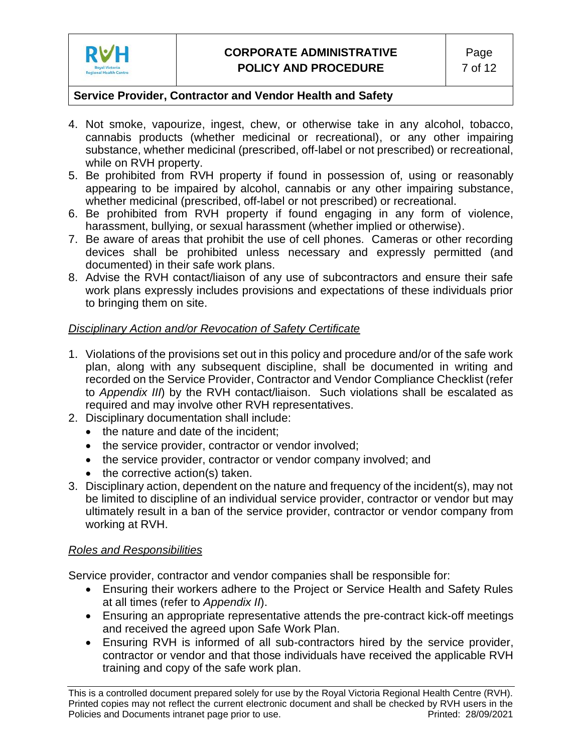

### **Service Provider, Contractor and Vendor Health and Safety**

- 4. Not smoke, vapourize, ingest, chew, or otherwise take in any alcohol, tobacco, cannabis products (whether medicinal or recreational), or any other impairing substance, whether medicinal (prescribed, off-label or not prescribed) or recreational, while on RVH property.
- 5. Be prohibited from RVH property if found in possession of, using or reasonably appearing to be impaired by alcohol, cannabis or any other impairing substance, whether medicinal (prescribed, off-label or not prescribed) or recreational.
- 6. Be prohibited from RVH property if found engaging in any form of violence, harassment, bullying, or sexual harassment (whether implied or otherwise).
- 7. Be aware of areas that prohibit the use of cell phones. Cameras or other recording devices shall be prohibited unless necessary and expressly permitted (and documented) in their safe work plans.
- 8. Advise the RVH contact/liaison of any use of subcontractors and ensure their safe work plans expressly includes provisions and expectations of these individuals prior to bringing them on site.

### *Disciplinary Action and/or Revocation of Safety Certificate*

- 1. Violations of the provisions set out in this policy and procedure and/or of the safe work plan, along with any subsequent discipline, shall be documented in writing and recorded on the Service Provider, Contractor and Vendor Compliance Checklist (refer to *Appendix III*) by the RVH contact/liaison. Such violations shall be escalated as required and may involve other RVH representatives.
- 2. Disciplinary documentation shall include:
	- the nature and date of the incident;
	- the service provider, contractor or vendor involved;
	- the service provider, contractor or vendor company involved; and
	- the corrective action(s) taken.
- 3. Disciplinary action, dependent on the nature and frequency of the incident(s), may not be limited to discipline of an individual service provider, contractor or vendor but may ultimately result in a ban of the service provider, contractor or vendor company from working at RVH.

### *Roles and Responsibilities*

Service provider, contractor and vendor companies shall be responsible for:

- Ensuring their workers adhere to the Project or Service Health and Safety Rules at all times (refer to *Appendix II*).
- Ensuring an appropriate representative attends the pre-contract kick-off meetings and received the agreed upon Safe Work Plan.
- Ensuring RVH is informed of all sub-contractors hired by the service provider, contractor or vendor and that those individuals have received the applicable RVH training and copy of the safe work plan.

This is a controlled document prepared solely for use by the Royal Victoria Regional Health Centre (RVH). Printed copies may not reflect the current electronic document and shall be checked by RVH users in the<br>Policies and Documents intranet page prior to use.<br>Printed: 28/09/2021 Policies and Documents intranet page prior to use.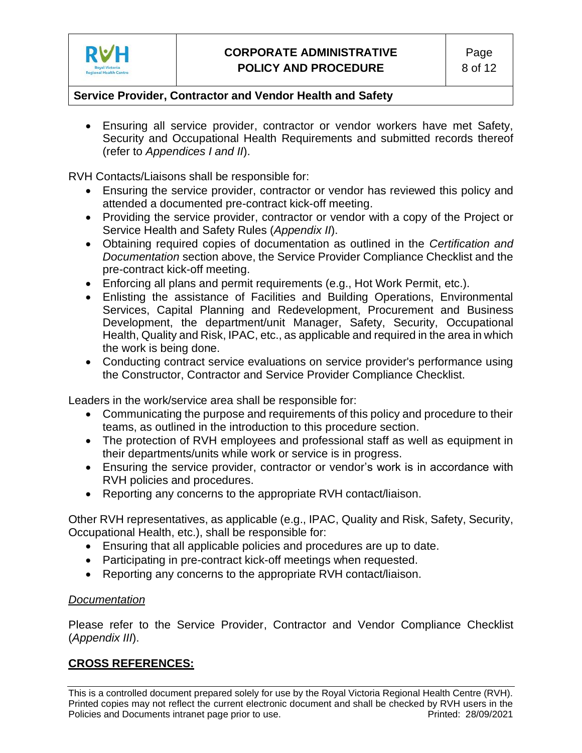

### **Service Provider, Contractor and Vendor Health and Safety**

• Ensuring all service provider, contractor or vendor workers have met Safety, Security and Occupational Health Requirements and submitted records thereof (refer to *Appendices I and II*).

RVH Contacts/Liaisons shall be responsible for:

- Ensuring the service provider, contractor or vendor has reviewed this policy and attended a documented pre-contract kick-off meeting.
- Providing the service provider, contractor or vendor with a copy of the Project or Service Health and Safety Rules (*Appendix II*).
- Obtaining required copies of documentation as outlined in the *Certification and Documentation* section above, the Service Provider Compliance Checklist and the pre-contract kick-off meeting.
- Enforcing all plans and permit requirements (e.g., Hot Work Permit, etc.).
- Enlisting the assistance of Facilities and Building Operations, Environmental Services, Capital Planning and Redevelopment, Procurement and Business Development, the department/unit Manager, Safety, Security, Occupational Health, Quality and Risk, IPAC, etc., as applicable and required in the area in which the work is being done.
- Conducting contract service evaluations on service provider's performance using the Constructor, Contractor and Service Provider Compliance Checklist.

Leaders in the work/service area shall be responsible for:

- Communicating the purpose and requirements of this policy and procedure to their teams, as outlined in the introduction to this procedure section.
- The protection of RVH employees and professional staff as well as equipment in their departments/units while work or service is in progress.
- Ensuring the service provider, contractor or vendor's work is in accordance with RVH policies and procedures.
- Reporting any concerns to the appropriate RVH contact/liaison.

Other RVH representatives, as applicable (e.g., IPAC, Quality and Risk, Safety, Security, Occupational Health, etc.), shall be responsible for:

- Ensuring that all applicable policies and procedures are up to date.
- Participating in pre-contract kick-off meetings when requested.
- Reporting any concerns to the appropriate RVH contact/liaison.

### *Documentation*

Please refer to the Service Provider, Contractor and Vendor Compliance Checklist (*Appendix III*).

## **CROSS REFERENCES:**

This is a controlled document prepared solely for use by the Royal Victoria Regional Health Centre (RVH). Printed copies may not reflect the current electronic document and shall be checked by RVH users in the<br>Policies and Documents intranet page prior to use.<br>Printed: 28/09/2021 Policies and Documents intranet page prior to use.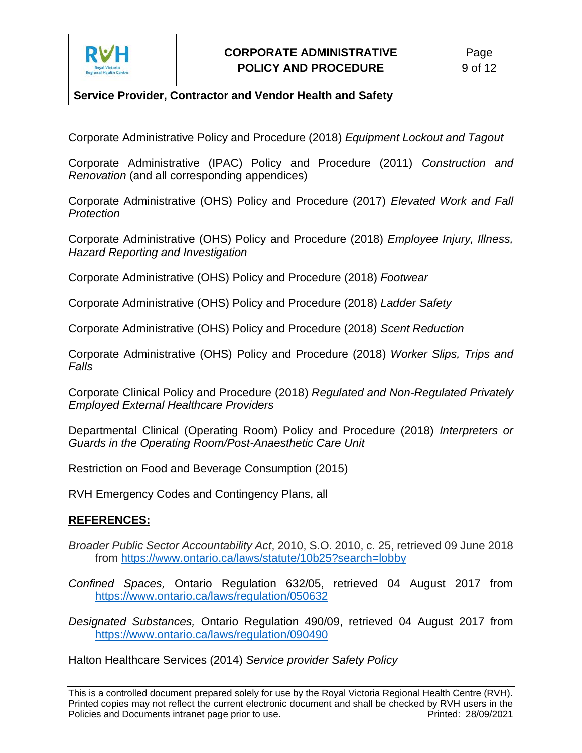

Corporate Administrative Policy and Procedure (2018) *Equipment Lockout and Tagout*

Corporate Administrative (IPAC) Policy and Procedure (2011) *Construction and Renovation* (and all corresponding appendices)

Corporate Administrative (OHS) Policy and Procedure (2017) *Elevated Work and Fall Protection*

Corporate Administrative (OHS) Policy and Procedure (2018) *Employee Injury, Illness, Hazard Reporting and Investigation*

Corporate Administrative (OHS) Policy and Procedure (2018) *Footwear*

Corporate Administrative (OHS) Policy and Procedure (2018) *Ladder Safety*

Corporate Administrative (OHS) Policy and Procedure (2018) *Scent Reduction*

Corporate Administrative (OHS) Policy and Procedure (2018) *Worker Slips, Trips and Falls*

Corporate Clinical Policy and Procedure (2018) *Regulated and Non-Regulated Privately Employed External Healthcare Providers*

Departmental Clinical (Operating Room) Policy and Procedure (2018) *Interpreters or Guards in the Operating Room/Post-Anaesthetic Care Unit*

Restriction on Food and Beverage Consumption (2015)

RVH Emergency Codes and Contingency Plans, all

#### **REFERENCES:**

*Broader Public Sector Accountability Act*, 2010, S.O. 2010, c. 25, retrieved 09 June 2018 from<https://www.ontario.ca/laws/statute/10b25?search=lobby>

*Confined Spaces,* Ontario Regulation 632/05, retrieved 04 August 2017 from <https://www.ontario.ca/laws/regulation/050632>

*Designated Substances,* Ontario Regulation 490/09, retrieved 04 August 2017 from <https://www.ontario.ca/laws/regulation/090490>

Halton Healthcare Services (2014) *Service provider Safety Policy*

This is a controlled document prepared solely for use by the Royal Victoria Regional Health Centre (RVH). Printed copies may not reflect the current electronic document and shall be checked by RVH users in the<br>Policies and Documents intranet page prior to use.<br>Printed: 28/09/2021 Policies and Documents intranet page prior to use.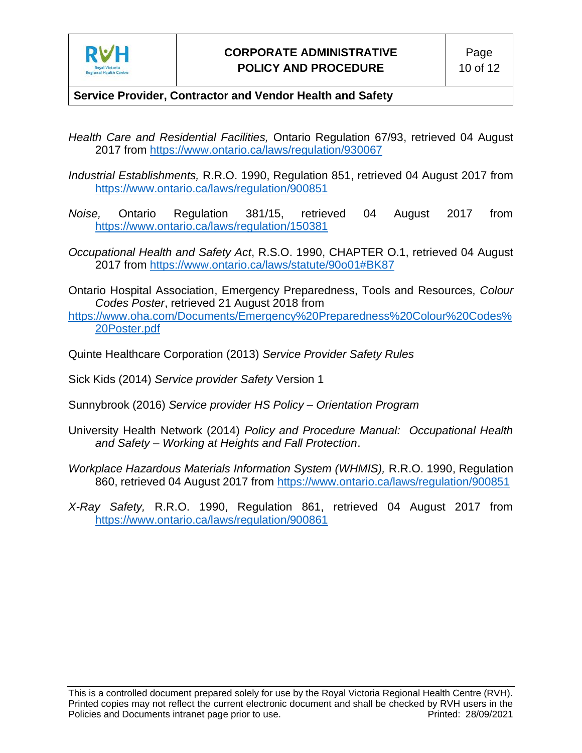

- *Health Care and Residential Facilities,* Ontario Regulation 67/93, retrieved 04 August 2017 from<https://www.ontario.ca/laws/regulation/930067>
- *Industrial Establishments,* R.R.O. 1990, Regulation 851, retrieved 04 August 2017 from <https://www.ontario.ca/laws/regulation/900851>
- *Noise,* Ontario Regulation 381/15, retrieved 04 August 2017 from <https://www.ontario.ca/laws/regulation/150381>
- *Occupational Health and Safety Act*, R.S.O. 1990, CHAPTER O.1, retrieved 04 August 2017 from<https://www.ontario.ca/laws/statute/90o01#BK87>
- Ontario Hospital Association, Emergency Preparedness, Tools and Resources, *Colour Codes Poster*, retrieved 21 August 2018 from
- [https://www.oha.com/Documents/Emergency%20Preparedness%20Colour%20Codes%](https://www.oha.com/Documents/Emergency%20Preparedness%20Colour%20Codes%20Poster.pdf) [20Poster.pdf](https://www.oha.com/Documents/Emergency%20Preparedness%20Colour%20Codes%20Poster.pdf)
- Quinte Healthcare Corporation (2013) *Service Provider Safety Rules*
- Sick Kids (2014) *Service provider Safety* Version 1
- Sunnybrook (2016) *Service provider HS Policy – Orientation Program*
- University Health Network (2014) *Policy and Procedure Manual: Occupational Health and Safety – Working at Heights and Fall Protection*.
- *Workplace Hazardous Materials Information System (WHMIS),* R.R.O. 1990, Regulation 860, retrieved 04 August 2017 from<https://www.ontario.ca/laws/regulation/900851>
- *X-Ray Safety,* R.R.O. 1990, Regulation 861, retrieved 04 August 2017 from <https://www.ontario.ca/laws/regulation/900861>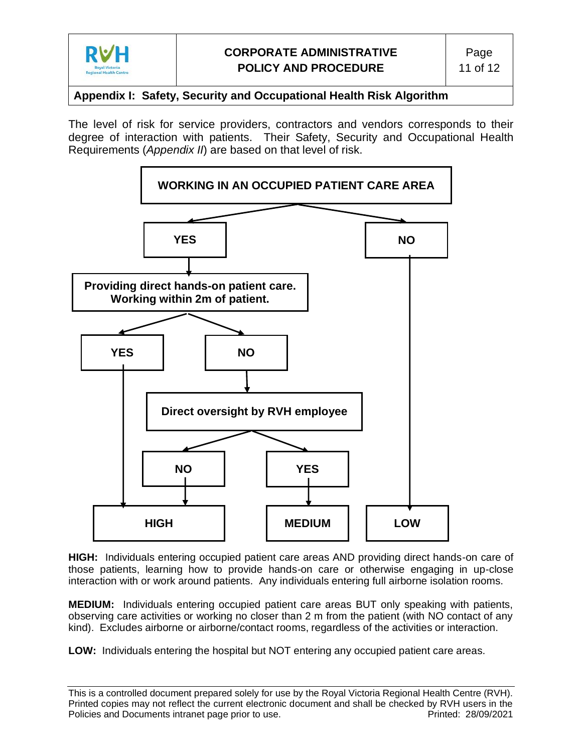

### **Appendix I: Safety, Security and Occupational Health Risk Algorithm**

The level of risk for service providers, contractors and vendors corresponds to their degree of interaction with patients. Their Safety, Security and Occupational Health Requirements (*Appendix II*) are based on that level of risk.



**HIGH:** Individuals entering occupied patient care areas AND providing direct hands-on care of those patients, learning how to provide hands-on care or otherwise engaging in up-close interaction with or work around patients. Any individuals entering full airborne isolation rooms.

**MEDIUM:** Individuals entering occupied patient care areas BUT only speaking with patients, observing care activities or working no closer than 2 m from the patient (with NO contact of any kind). Excludes airborne or airborne/contact rooms, regardless of the activities or interaction.

**LOW:** Individuals entering the hospital but NOT entering any occupied patient care areas.

This is a controlled document prepared solely for use by the Royal Victoria Regional Health Centre (RVH). Printed copies may not reflect the current electronic document and shall be checked by RVH users in the<br>Policies and Documents intranet page prior to use.<br>Printed: 28/09/2021 Policies and Documents intranet page prior to use.